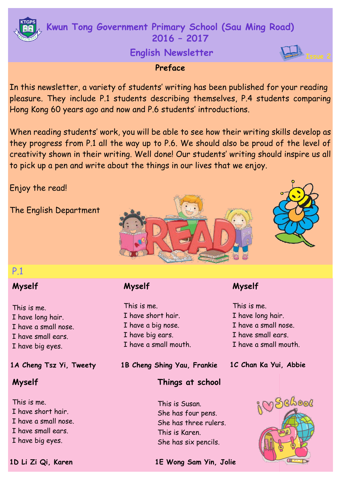# **Kwun Tong Government Primary School (Sau Ming Road) 2016 – 2017**

# **English Newsletter**

# **Preface**

In this newsletter, a variety of students' writing has been published for your reading pleasure. They include P.1 students describing themselves, P.4 students comparing Hong Kong 60 years ago and now and P.6 students' introductions.

When reading students' work, you will be able to see how their writing skills develop as they progress from P.1 all the way up to P.6. We should also be proud of the level of creativity shown in their writing. Well done! Our students' writing should inspire us all to pick up a pen and write about the things in our lives that we enjoy.

Enjoy the read!

The English Department





# P.1

# **Myself**

This is me. I have long hair. I have a small nose. I have small ears. I have big eyes.

# **Myself**

This is me. I have short hair. I have a small nose. I have small ears. I have big eyes.

# **Myself**

This is me. I have short hair. I have a big nose. I have big ears. I have a small mouth.

**1A Cheng Tsz Yi, Tweety 1C Chan Ka Yui, Abbie 1B Cheng Shing Yau, Frankie**

# **Things at school**

This is Susan. She has four pens. She has three rulers. This is Karen. She has six pencils.

# inschool

**Myself**

This is me.

I have long hair. I have a small nose. I have small ears. I have a small mouth.

**1D Li Zi Qi, Karen 1E Wong Sam Yin, Jolie**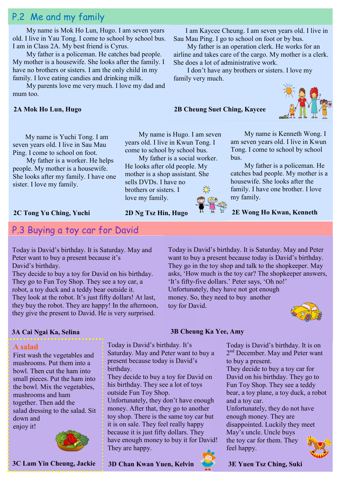# P.2 Me and my family

 My name is Mok Ho Lun, Hugo. I am seven years old. I live in Yau Tong. I come to school by school bus. I am in Class 2A. My best friend is Cyrus.

 My father is a policeman. He catches bad people. My mother is a housewife. She looks after the family. I have no brothers or sisters. I am the only child in my family. I love eating candies and drinking milk.

 My parents love me very much. I love my dad and mum too.

#### **2A Mok Ho Lun, Hugo**

I am Kaycee Cheung. I am seven years old. I live in Sau Mau Ping. I go to school on foot or by bus.

My father is an operation clerk. He works for an airline and takes care of the cargo. My mother is a clerk. She does a lot of administrative work.

I don't have any brothers or sisters. I love my family very much.

bus.

#### **2B Cheung Suet Ching, Kaycee**



 My name is Kenneth Wong. I am seven years old. I live in Kwun Tong. I come to school by school

My father is a policeman. He catches bad people. My mother is a housewife. She looks after the family. I have one brother. I love

 My name is Yuchi Tong. I am seven years old. I live in Sau Mau Ping. I come to school on foot.

My father is a worker. He helps people. My mother is a housewife. She looks after my family. I have one sister. I love my family.

#### **2C Tong Yu Ching, Yuchi**

## P.3 Buying a toy car for David

Today is David's birthday. It is Saturday. May and Peter want to buy a present because it's David's birthday.

They decide to buy a toy for David on his birthday. They go to Fun Toy Shop. They see a toy car, a robot, a toy duck and a teddy bear outside it. They look at the robot. It's just fifty dollars! At last, they buy the robot. They are happy! In the afternoon, they give the present to David. He is very surprised.

Today is David's birthday. It is Saturday. May and Peter want to buy a present because today is David's birthday. They go in the toy shop and talk to the shopkeeper. May asks, 'How much is the toy car? The shopkeeper answers, 'It's fifty-five dollars.' Peter says, 'Oh no!' Unfortunately, they have not got enough money. So, they need to buy another toy for David.

my family.



#### **3A Cai Ngai Ka, Selina 3B Cheung Ka Yee, Amy**

#### **A salad**

First wash the vegetables and mushrooms. Put them into a bowl. Then cut the ham into small pieces. Put the ham into the bowl. Mix the vegetables, mushrooms and ham together. Then add the salad dressing to the salad. Sit down and enjoy it!



**3C Lam Yin Cheung, Jackie 3D Chan Kwan Yuen, Kelvin**

 My name is Hugo. I am seven years old. I live in Kwun Tong. I come to school by school bus.

 My father is a social worker. He looks after old people. My mother is a shop assistant. She sells DVDs. I have no brothers or sisters. I love my family.

**2D Ng Tsz Hin, Hugo**



**2E Wong Ho Kwan, Kenneth**

Today is David's birthday. It is on 2<sup>nd</sup> December. May and Peter want to buy a present. They decide to buy a toy car for David on his birthday. They go to

Fun Toy Shop. They see a teddy bear, a toy plane, a toy duck, a robot and a toy car.

Unfortunately, they do not have enough money. They are disappointed. Luckily they meet May's uncle. Uncle buys the toy car for them. They feel happy.



Today is David's birthday. It's

outside Fun Toy Shop.

They are happy.

birthday.

Saturday. May and Peter want to buy a present because today is David's

They decide to buy a toy for David on his birthday. They see a lot of toys

Unfortunately, they don't have enough money. After that, they go to another toy shop. There is the same toy car but it is on sale. They feel really happy because it is just fifty dollars. They have enough money to buy it for David!

**3E Yuen Tsz Ching, Suki**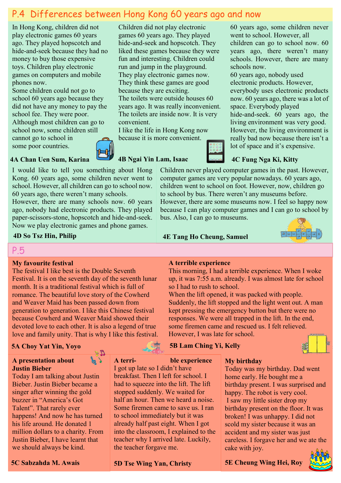# P.4 Differences between Hong Kong 60 years ago and now

In Hong Kong, children did not play electronic games 60 years ago. They played hopscotch and hide-and-seek because they had no money to buy those expensive toys. Children play electronic games on computers and mobile phones now.

Some children could not go to school 60 years ago because they did not have any money to pay the school fee. They were poor. Although most children can go to school now, some children still cannot go to school in

some poor countries.

**4A Chan Uen Sum, Karina**

I would like to tell you something about Hong Kong. 60 years ago, some children never went to school. However, all children can go to school now. 60 years ago, there weren't many schools.

However, there are many schools now. 60 years ago, nobody had electronic products. They played paper-scissors-stone, hopscotch and hide-and-seek. Now we play electronic games and phone games.

**4D So Tsz Hin, Philip**

P.5

#### **My favourite festival**

The festival I like best is the Double Seventh Festival. It is on the seventh day of the seventh lunar month. It is a traditional festival which is full of romance. The beautiful love story of the Cowherd and Weaver Maid has been passed down from generation to generation. I like this Chinese festival because Cowherd and Weaver Maid showed their devoted love to each other. It is also a legend of true love and family unity. That is why I like this festival.

67

### **5A Choy Yat Yin, Yoyo**

#### **A presentation about Justin Bieber**

Today I am talking about Justin Bieber. Justin Bieber became a singer after winning the gold buzzer in "America's Got Talent". That rarely ever happens! And now he has turned his life around. He donated 1 million dollars to a charity. From Justin Bieber, I have learnt that we should always be kind.



**A terri- ble experience** I got up late so I didn't have breakfast. Then I left for school. I had to squeeze into the lift. The lift stopped suddenly. We waited for half an hour. Then we heard a noise. Some firemen came to save us. I ran to school immediately but it was already half past eight. When I got into the classroom, I explained to the teacher why I arrived late. Luckily,

**5D Tse Wing Yan, Christy 5C Sabzahda M. Awais 5E Cheung Wing Hei, Roy** 

the teacher forgave me.

Children did not play electronic games 60 years ago. They played hide-and-seek and hopscotch. They liked these games because they were fun and interesting. Children could run and jump in the playground. They play electronic games now. They think these games are good because they are exciting. The toilets were outside houses 60 years ago. It was really inconvenient. The toilets are inside now. It is very convenient.

I like the life in Hong Kong now because it is more convenient.

**4B Ngai Yin Lam, Isaac**



60 years ago, some children never went to school. However, all children can go to school now. 60 years ago, there weren't many schools. However, there are many schools now.

60 years ago, nobody used electronic products. However, everybody uses electronic products now. 60 years ago, there was a lot of space. Everybody played hide-and-seek. 60 years ago, the living environment was very good. However, the living environment is really bad now because there isn't a lot of space and it's expensive.

## **4C Fung Nga Ki, Kitty**

Children never played computer games in the past. However, computer games are very popular nowadays. 60 years ago, children went to school on foot. However, now, children go to school by bus. There weren't any museums before. However, there are some museums now. I feel so happy now because I can play computer games and I can go to school by bus. Also, I can go to museums.

**4E Tang Ho Cheung, Samuel**



#### **A terrible experience**

This morning, I had a terrible experience. When I woke up, it was 7:55 a.m. already. I was almost late for school so I had to rush to school.

When the lift opened, it was packed with people. Suddenly, the lift stopped and the light went out. A man kept pressing the emergency button but there were no responses. We were all trapped in the lift. In the end, some firemen came and rescued us. I felt relieved. However, I was late for school.

### **5B Lam Ching Yi, Kelly**



Today was my birthday. Dad went home early. He bought me a birthday present. I was surprised and happy. The robot is very cool. I saw my little sister drop my birthday present on the floor. It was broken! I was unhappy. I did not scold my sister because it was an accident and my sister was just careless. I forgave her and we ate the cake with joy.